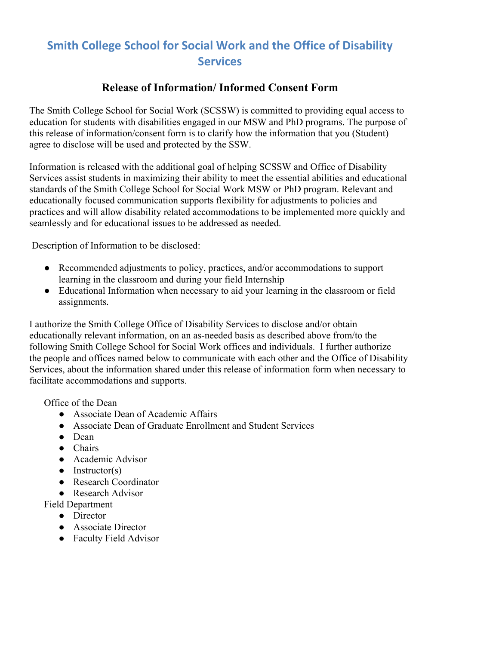## **Smith College School for Social Work and the Office of Disability Services**

## **Release of Information/ Informed Consent Form**

The Smith College School for Social Work (SCSSW) is committed to providing equal access to education for students with disabilities engaged in our MSW and PhD programs. The purpose of this release of information/consent form is to clarify how the information that you (Student) agree to disclose will be used and protected by the SSW.

Information is released with the additional goal of helping SCSSW and Office of Disability Services assist students in maximizing their ability to meet the essential abilities and educational standards of the Smith College School for Social Work MSW or PhD program. Relevant and educationally focused communication supports flexibility for adjustments to policies and practices and will allow disability related accommodations to be implemented more quickly and seamlessly and for educational issues to be addressed as needed.

Description of Information to be disclosed:

- Recommended adjustments to policy, practices, and/or accommodations to support learning in the classroom and during your field Internship
- Educational Information when necessary to aid your learning in the classroom or field assignments*.*

I authorize the Smith College Office of Disability Services to disclose and/or obtain educationally relevant information, on an as-needed basis as described above from/to the following Smith College School for Social Work offices and individuals. I further authorize the people and offices named below to communicate with each other and the Office of Disability Services, about the information shared under this release of information form when necessary to facilitate accommodations and supports.

Office of the Dean

- Associate Dean of Academic Affairs
- Associate Dean of Graduate Enrollment and Student Services
- Dean
- Chairs
- Academic Advisor
- $\bullet$  Instructor(s)
- Research Coordinator
- Research Advisor

Field Department

- Director
- Associate Director
- Faculty Field Advisor